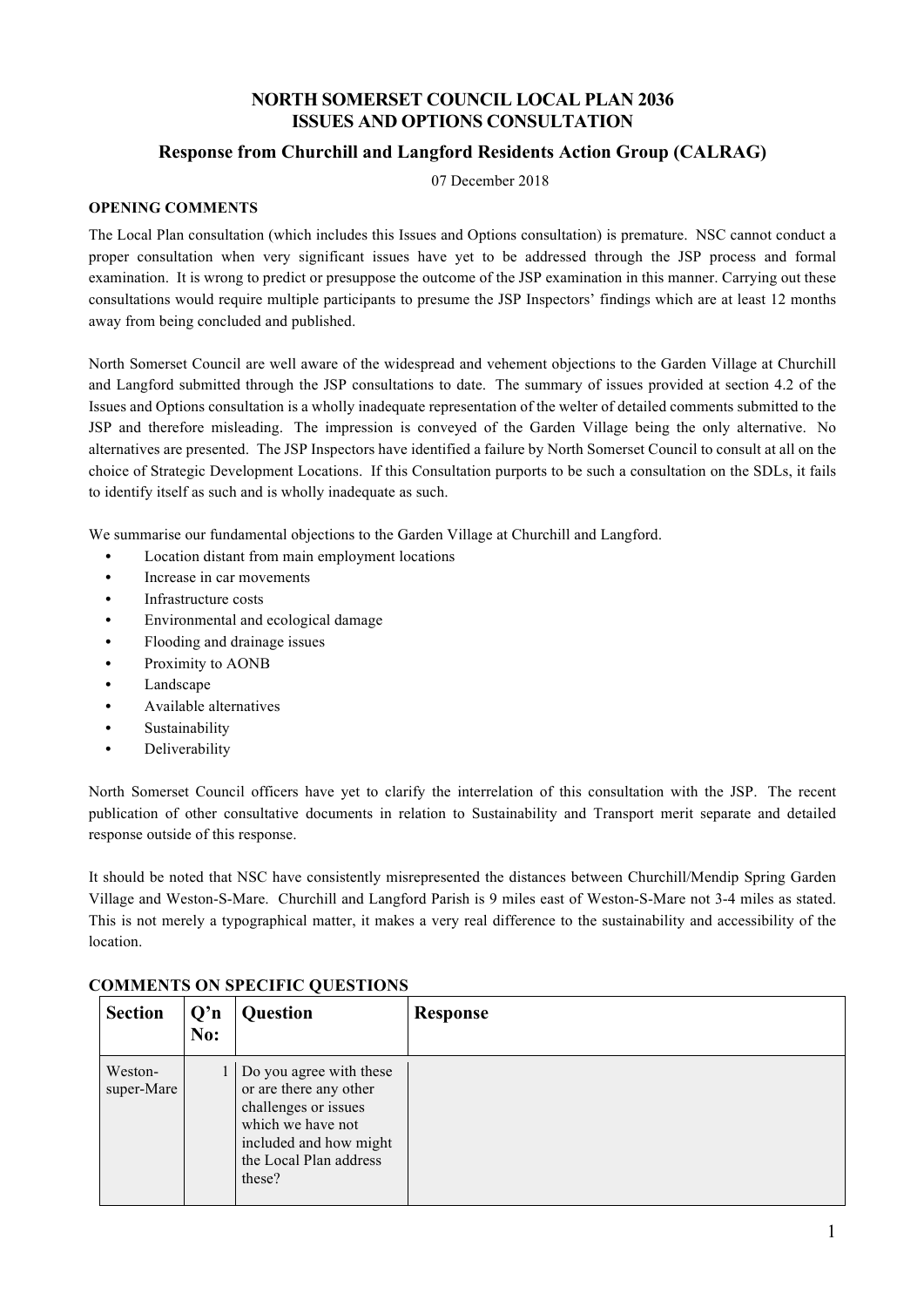# **NORTH SOMERSET COUNCIL LOCAL PLAN 2036 ISSUES AND OPTIONS CONSULTATION**

# **Response from Churchill and Langford Residents Action Group (CALRAG)**

07 December 2018

#### **OPENING COMMENTS**

The Local Plan consultation (which includes this Issues and Options consultation) is premature. NSC cannot conduct a proper consultation when very significant issues have yet to be addressed through the JSP process and formal examination. It is wrong to predict or presuppose the outcome of the JSP examination in this manner. Carrying out these consultations would require multiple participants to presume the JSP Inspectors' findings which are at least 12 months away from being concluded and published.

North Somerset Council are well aware of the widespread and vehement objections to the Garden Village at Churchill and Langford submitted through the JSP consultations to date. The summary of issues provided at section 4.2 of the Issues and Options consultation is a wholly inadequate representation of the welter of detailed comments submitted to the JSP and therefore misleading. The impression is conveyed of the Garden Village being the only alternative. No alternatives are presented. The JSP Inspectors have identified a failure by North Somerset Council to consult at all on the choice of Strategic Development Locations. If this Consultation purports to be such a consultation on the SDLs, it fails to identify itself as such and is wholly inadequate as such.

We summarise our fundamental objections to the Garden Village at Churchill and Langford.

- *•* Location distant from main employment locations
- *•* Increase in car movements
- *•* Infrastructure costs
- *•* Environmental and ecological damage
- *•* Flooding and drainage issues
- *•* Proximity to AONB
- *•* Landscape
- *•* Available alternatives
- *•* Sustainability
- *•* Deliverability

North Somerset Council officers have yet to clarify the interrelation of this consultation with the JSP. The recent publication of other consultative documents in relation to Sustainability and Transport merit separate and detailed response outside of this response.

It should be noted that NSC have consistently misrepresented the distances between Churchill/Mendip Spring Garden Village and Weston-S-Mare. Churchill and Langford Parish is 9 miles east of Weston-S-Mare not 3-4 miles as stated. This is not merely a typographical matter, it makes a very real difference to the sustainability and accessibility of the location.

| <b>Section</b>        | Q'n<br>No: | <b>Question</b>                                                                                                                                              | <b>Response</b> |
|-----------------------|------------|--------------------------------------------------------------------------------------------------------------------------------------------------------------|-----------------|
| Weston-<br>super-Mare |            | Do you agree with these<br>or are there any other<br>challenges or issues<br>which we have not<br>included and how might<br>the Local Plan address<br>these? |                 |

### **COMMENTS ON SPECIFIC QUESTIONS**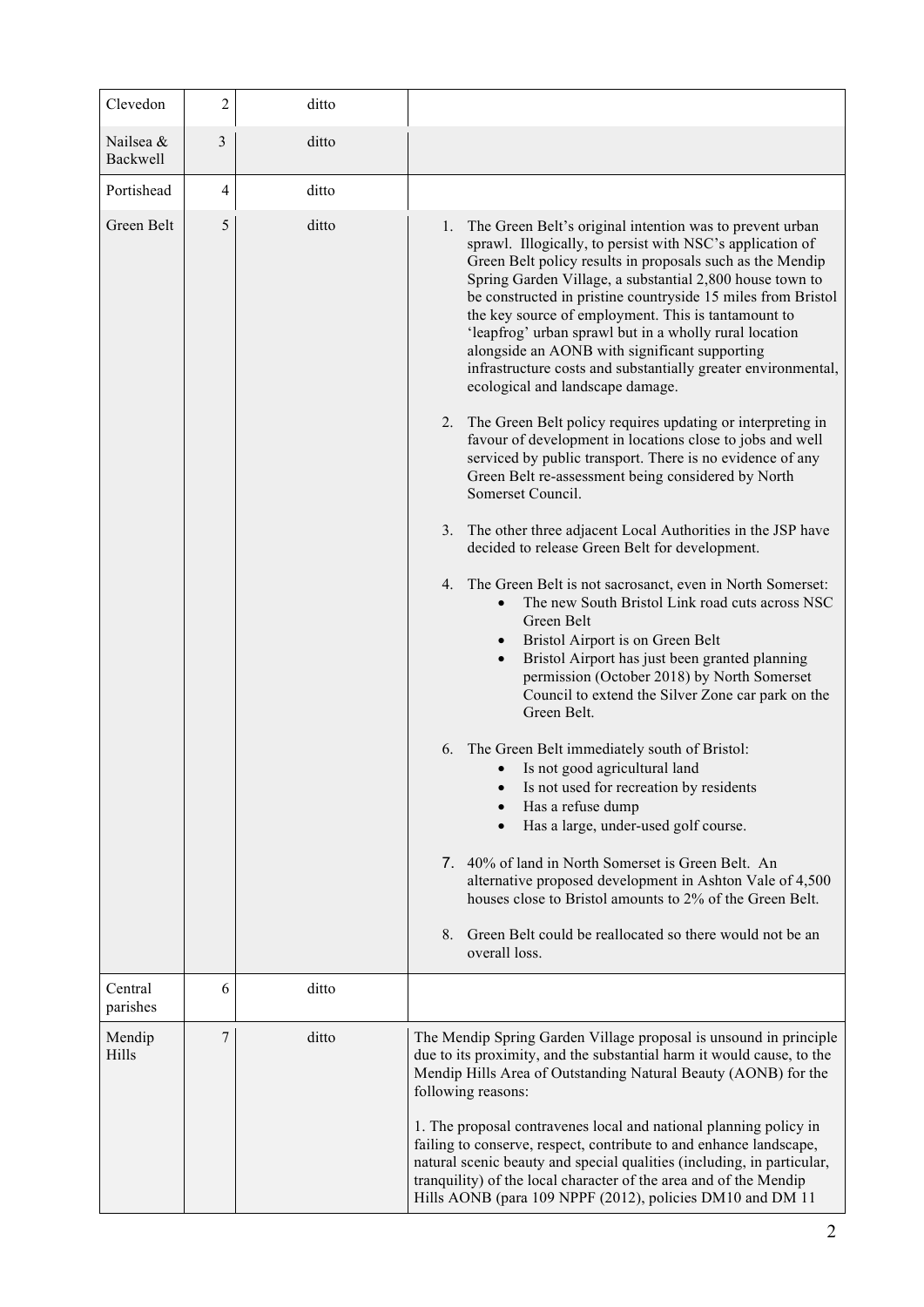| Clevedon              | 2 | ditto |                                                                                                                                                                                                                                                                                                                                                                                                                                                                                                                                                                                                                                                                                                                                                                                                                                                                                                                                                                                                                                                                                                                                                                                                                                                                                                                                                                                                                                                                                                           |
|-----------------------|---|-------|-----------------------------------------------------------------------------------------------------------------------------------------------------------------------------------------------------------------------------------------------------------------------------------------------------------------------------------------------------------------------------------------------------------------------------------------------------------------------------------------------------------------------------------------------------------------------------------------------------------------------------------------------------------------------------------------------------------------------------------------------------------------------------------------------------------------------------------------------------------------------------------------------------------------------------------------------------------------------------------------------------------------------------------------------------------------------------------------------------------------------------------------------------------------------------------------------------------------------------------------------------------------------------------------------------------------------------------------------------------------------------------------------------------------------------------------------------------------------------------------------------------|
| Nailsea &<br>Backwell | 3 | ditto |                                                                                                                                                                                                                                                                                                                                                                                                                                                                                                                                                                                                                                                                                                                                                                                                                                                                                                                                                                                                                                                                                                                                                                                                                                                                                                                                                                                                                                                                                                           |
| Portishead            | 4 | ditto |                                                                                                                                                                                                                                                                                                                                                                                                                                                                                                                                                                                                                                                                                                                                                                                                                                                                                                                                                                                                                                                                                                                                                                                                                                                                                                                                                                                                                                                                                                           |
| Green Belt            | 5 | ditto | 1. The Green Belt's original intention was to prevent urban<br>sprawl. Illogically, to persist with NSC's application of<br>Green Belt policy results in proposals such as the Mendip<br>Spring Garden Village, a substantial 2,800 house town to<br>be constructed in pristine countryside 15 miles from Bristol<br>the key source of employment. This is tantamount to<br>'leapfrog' urban sprawl but in a wholly rural location<br>alongside an AONB with significant supporting<br>infrastructure costs and substantially greater environmental,<br>ecological and landscape damage.<br>2. The Green Belt policy requires updating or interpreting in<br>favour of development in locations close to jobs and well<br>serviced by public transport. There is no evidence of any<br>Green Belt re-assessment being considered by North<br>Somerset Council.<br>3. The other three adjacent Local Authorities in the JSP have<br>decided to release Green Belt for development.<br>4. The Green Belt is not sacrosanct, even in North Somerset:<br>The new South Bristol Link road cuts across NSC<br>$\bullet$<br>Green Belt<br>Bristol Airport is on Green Belt<br>Bristol Airport has just been granted planning<br>$\bullet$<br>permission (October 2018) by North Somerset<br>Council to extend the Silver Zone car park on the<br>Green Belt.<br>6. The Green Belt immediately south of Bristol:<br>Is not good agricultural land<br>Is not used for recreation by residents<br>Has a refuse dump |
|                       |   |       | Has a large, under-used golf course.<br>7. 40% of land in North Somerset is Green Belt. An                                                                                                                                                                                                                                                                                                                                                                                                                                                                                                                                                                                                                                                                                                                                                                                                                                                                                                                                                                                                                                                                                                                                                                                                                                                                                                                                                                                                                |
|                       |   |       | alternative proposed development in Ashton Vale of 4,500<br>houses close to Bristol amounts to 2% of the Green Belt.                                                                                                                                                                                                                                                                                                                                                                                                                                                                                                                                                                                                                                                                                                                                                                                                                                                                                                                                                                                                                                                                                                                                                                                                                                                                                                                                                                                      |
|                       |   |       | Green Belt could be reallocated so there would not be an<br>8.<br>overall loss.                                                                                                                                                                                                                                                                                                                                                                                                                                                                                                                                                                                                                                                                                                                                                                                                                                                                                                                                                                                                                                                                                                                                                                                                                                                                                                                                                                                                                           |
| Central<br>parishes   | 6 | ditto |                                                                                                                                                                                                                                                                                                                                                                                                                                                                                                                                                                                                                                                                                                                                                                                                                                                                                                                                                                                                                                                                                                                                                                                                                                                                                                                                                                                                                                                                                                           |
| Mendip<br>Hills       | 7 | ditto | The Mendip Spring Garden Village proposal is unsound in principle<br>due to its proximity, and the substantial harm it would cause, to the<br>Mendip Hills Area of Outstanding Natural Beauty (AONB) for the<br>following reasons:<br>1. The proposal contravenes local and national planning policy in<br>failing to conserve, respect, contribute to and enhance landscape,<br>natural scenic beauty and special qualities (including, in particular,<br>tranquility) of the local character of the area and of the Mendip<br>Hills AONB (para 109 NPPF (2012), policies DM10 and DM 11                                                                                                                                                                                                                                                                                                                                                                                                                                                                                                                                                                                                                                                                                                                                                                                                                                                                                                                 |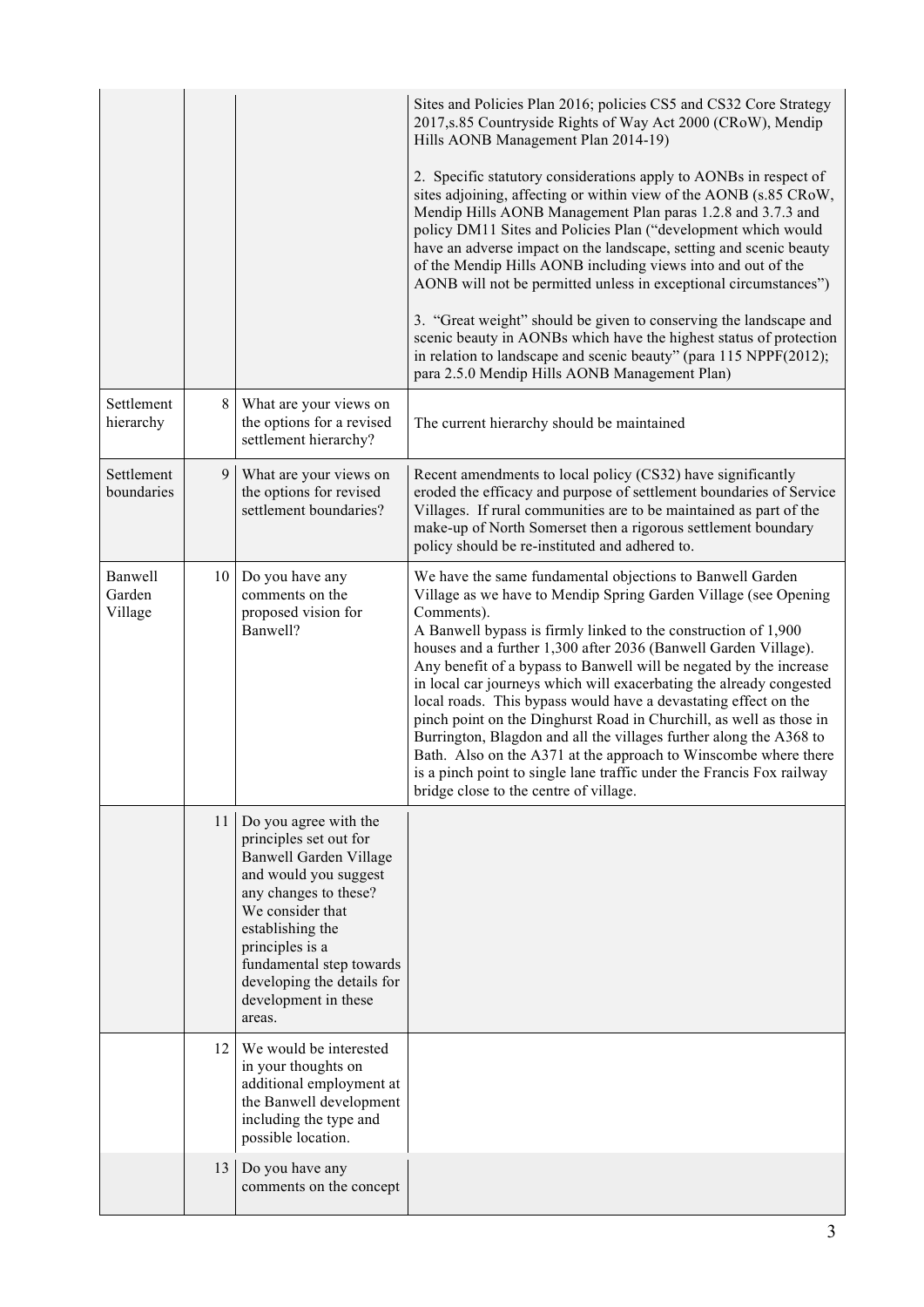|                              |    |                                                                                                                                                                                                                                                                                           | Sites and Policies Plan 2016; policies CS5 and CS32 Core Strategy<br>2017, s.85 Countryside Rights of Way Act 2000 (CRoW), Mendip<br>Hills AONB Management Plan 2014-19)                                                                                                                                                                                                                                                                                                                                                                                                                                                                                                                                                                                                                                                           |
|------------------------------|----|-------------------------------------------------------------------------------------------------------------------------------------------------------------------------------------------------------------------------------------------------------------------------------------------|------------------------------------------------------------------------------------------------------------------------------------------------------------------------------------------------------------------------------------------------------------------------------------------------------------------------------------------------------------------------------------------------------------------------------------------------------------------------------------------------------------------------------------------------------------------------------------------------------------------------------------------------------------------------------------------------------------------------------------------------------------------------------------------------------------------------------------|
|                              |    |                                                                                                                                                                                                                                                                                           | 2. Specific statutory considerations apply to AONBs in respect of<br>sites adjoining, affecting or within view of the AONB (s.85 CRoW,<br>Mendip Hills AONB Management Plan paras 1.2.8 and 3.7.3 and<br>policy DM11 Sites and Policies Plan ("development which would<br>have an adverse impact on the landscape, setting and scenic beauty<br>of the Mendip Hills AONB including views into and out of the<br>AONB will not be permitted unless in exceptional circumstances")                                                                                                                                                                                                                                                                                                                                                   |
|                              |    |                                                                                                                                                                                                                                                                                           | 3. "Great weight" should be given to conserving the landscape and<br>scenic beauty in AONBs which have the highest status of protection<br>in relation to landscape and scenic beauty" (para 115 NPPF(2012);<br>para 2.5.0 Mendip Hills AONB Management Plan)                                                                                                                                                                                                                                                                                                                                                                                                                                                                                                                                                                      |
| Settlement<br>hierarchy      | 8  | What are your views on<br>the options for a revised<br>settlement hierarchy?                                                                                                                                                                                                              | The current hierarchy should be maintained                                                                                                                                                                                                                                                                                                                                                                                                                                                                                                                                                                                                                                                                                                                                                                                         |
| Settlement<br>boundaries     | 9  | What are your views on<br>the options for revised<br>settlement boundaries?                                                                                                                                                                                                               | Recent amendments to local policy (CS32) have significantly<br>eroded the efficacy and purpose of settlement boundaries of Service<br>Villages. If rural communities are to be maintained as part of the<br>make-up of North Somerset then a rigorous settlement boundary<br>policy should be re-instituted and adhered to.                                                                                                                                                                                                                                                                                                                                                                                                                                                                                                        |
| Banwell<br>Garden<br>Village | 10 | Do you have any<br>comments on the<br>proposed vision for<br>Banwell?                                                                                                                                                                                                                     | We have the same fundamental objections to Banwell Garden<br>Village as we have to Mendip Spring Garden Village (see Opening<br>Comments).<br>A Banwell bypass is firmly linked to the construction of 1,900<br>houses and a further 1,300 after 2036 (Banwell Garden Village).<br>Any benefit of a bypass to Banwell will be negated by the increase<br>in local car journeys which will exacerbating the already congested<br>local roads. This bypass would have a devastating effect on the<br>pinch point on the Dinghurst Road in Churchill, as well as those in<br>Burrington, Blagdon and all the villages further along the A368 to<br>Bath. Also on the A371 at the approach to Winscombe where there<br>is a pinch point to single lane traffic under the Francis Fox railway<br>bridge close to the centre of village. |
|                              | 11 | Do you agree with the<br>principles set out for<br><b>Banwell Garden Village</b><br>and would you suggest<br>any changes to these?<br>We consider that<br>establishing the<br>principles is a<br>fundamental step towards<br>developing the details for<br>development in these<br>areas. |                                                                                                                                                                                                                                                                                                                                                                                                                                                                                                                                                                                                                                                                                                                                                                                                                                    |
|                              | 12 | We would be interested<br>in your thoughts on<br>additional employment at<br>the Banwell development<br>including the type and<br>possible location.                                                                                                                                      |                                                                                                                                                                                                                                                                                                                                                                                                                                                                                                                                                                                                                                                                                                                                                                                                                                    |
|                              | 13 | Do you have any<br>comments on the concept                                                                                                                                                                                                                                                |                                                                                                                                                                                                                                                                                                                                                                                                                                                                                                                                                                                                                                                                                                                                                                                                                                    |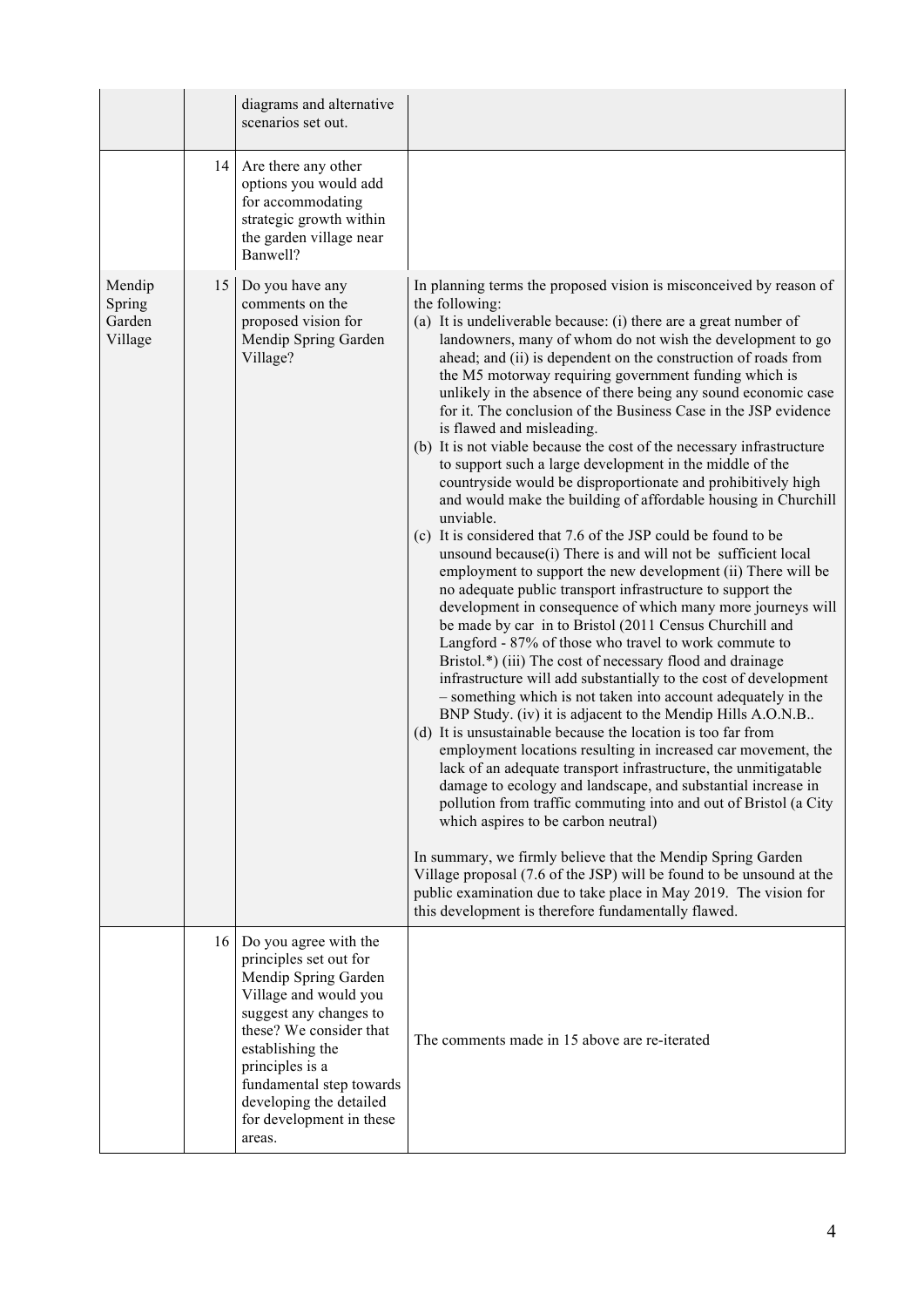|                                       |                 | diagrams and alternative<br>scenarios set out.                                                                                                                                                                                                                                            |                                                                                                                                                                                                                                                                                                                                                                                                                                                                                                                                                                                                                                                                                                                                                                                                                                                                                                                                                                                                                                                                                                                                                                                                                                                                                                                                                                                                                                                                                                                                                                                                                                                                                                                                                                                                                                                                                                                                                                                                                                                                                                                                                                            |
|---------------------------------------|-----------------|-------------------------------------------------------------------------------------------------------------------------------------------------------------------------------------------------------------------------------------------------------------------------------------------|----------------------------------------------------------------------------------------------------------------------------------------------------------------------------------------------------------------------------------------------------------------------------------------------------------------------------------------------------------------------------------------------------------------------------------------------------------------------------------------------------------------------------------------------------------------------------------------------------------------------------------------------------------------------------------------------------------------------------------------------------------------------------------------------------------------------------------------------------------------------------------------------------------------------------------------------------------------------------------------------------------------------------------------------------------------------------------------------------------------------------------------------------------------------------------------------------------------------------------------------------------------------------------------------------------------------------------------------------------------------------------------------------------------------------------------------------------------------------------------------------------------------------------------------------------------------------------------------------------------------------------------------------------------------------------------------------------------------------------------------------------------------------------------------------------------------------------------------------------------------------------------------------------------------------------------------------------------------------------------------------------------------------------------------------------------------------------------------------------------------------------------------------------------------------|
|                                       | 14              | Are there any other<br>options you would add<br>for accommodating<br>strategic growth within<br>the garden village near<br>Banwell?                                                                                                                                                       |                                                                                                                                                                                                                                                                                                                                                                                                                                                                                                                                                                                                                                                                                                                                                                                                                                                                                                                                                                                                                                                                                                                                                                                                                                                                                                                                                                                                                                                                                                                                                                                                                                                                                                                                                                                                                                                                                                                                                                                                                                                                                                                                                                            |
| Mendip<br>Spring<br>Garden<br>Village | 15              | Do you have any<br>comments on the<br>proposed vision for<br>Mendip Spring Garden<br>Village?                                                                                                                                                                                             | In planning terms the proposed vision is misconceived by reason of<br>the following:<br>(a) It is undeliverable because: (i) there are a great number of<br>landowners, many of whom do not wish the development to go<br>ahead; and (ii) is dependent on the construction of roads from<br>the M5 motorway requiring government funding which is<br>unlikely in the absence of there being any sound economic case<br>for it. The conclusion of the Business Case in the JSP evidence<br>is flawed and misleading.<br>(b) It is not viable because the cost of the necessary infrastructure<br>to support such a large development in the middle of the<br>countryside would be disproportionate and prohibitively high<br>and would make the building of affordable housing in Churchill<br>unviable.<br>(c) It is considered that 7.6 of the JSP could be found to be<br>unsound because(i) There is and will not be sufficient local<br>employment to support the new development (ii) There will be<br>no adequate public transport infrastructure to support the<br>development in consequence of which many more journeys will<br>be made by car in to Bristol (2011 Census Churchill and<br>Langford - 87% of those who travel to work commute to<br>Bristol.*) (iii) The cost of necessary flood and drainage<br>infrastructure will add substantially to the cost of development<br>- something which is not taken into account adequately in the<br>BNP Study. (iv) it is adjacent to the Mendip Hills A.O.N.B<br>(d) It is unsustainable because the location is too far from<br>employment locations resulting in increased car movement, the<br>lack of an adequate transport infrastructure, the unmitigatable<br>damage to ecology and landscape, and substantial increase in<br>pollution from traffic commuting into and out of Bristol (a City<br>which aspires to be carbon neutral)<br>In summary, we firmly believe that the Mendip Spring Garden<br>Village proposal (7.6 of the JSP) will be found to be unsound at the<br>public examination due to take place in May 2019. The vision for<br>this development is therefore fundamentally flawed. |
|                                       | 16 <sup>1</sup> | Do you agree with the<br>principles set out for<br>Mendip Spring Garden<br>Village and would you<br>suggest any changes to<br>these? We consider that<br>establishing the<br>principles is a<br>fundamental step towards<br>developing the detailed<br>for development in these<br>areas. | The comments made in 15 above are re-iterated                                                                                                                                                                                                                                                                                                                                                                                                                                                                                                                                                                                                                                                                                                                                                                                                                                                                                                                                                                                                                                                                                                                                                                                                                                                                                                                                                                                                                                                                                                                                                                                                                                                                                                                                                                                                                                                                                                                                                                                                                                                                                                                              |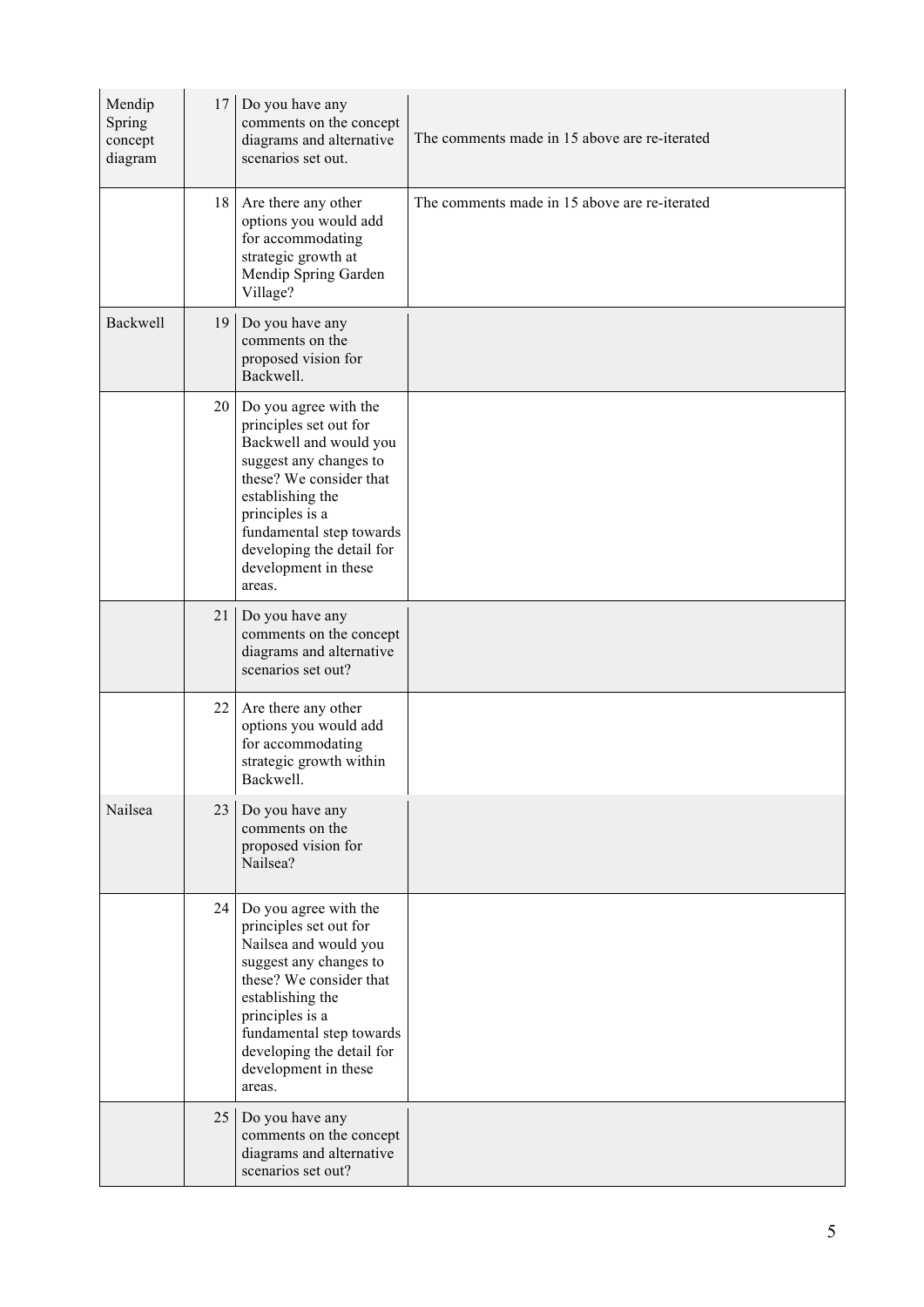| Mendip<br>Spring<br>concept<br>diagram | 17 | Do you have any<br>comments on the concept<br>diagrams and alternative<br>scenarios set out.                                                                                                                                                                     | The comments made in 15 above are re-iterated |
|----------------------------------------|----|------------------------------------------------------------------------------------------------------------------------------------------------------------------------------------------------------------------------------------------------------------------|-----------------------------------------------|
|                                        | 18 | Are there any other<br>options you would add<br>for accommodating<br>strategic growth at<br>Mendip Spring Garden<br>Village?                                                                                                                                     | The comments made in 15 above are re-iterated |
| Backwell                               | 19 | Do you have any<br>comments on the<br>proposed vision for<br>Backwell.                                                                                                                                                                                           |                                               |
|                                        | 20 | Do you agree with the<br>principles set out for<br>Backwell and would you<br>suggest any changes to<br>these? We consider that<br>establishing the<br>principles is a<br>fundamental step towards<br>developing the detail for<br>development in these<br>areas. |                                               |
|                                        | 21 | Do you have any<br>comments on the concept<br>diagrams and alternative<br>scenarios set out?                                                                                                                                                                     |                                               |
|                                        | 22 | Are there any other<br>options you would add<br>for accommodating<br>strategic growth within<br>Backwell.                                                                                                                                                        |                                               |
| Nailsea                                | 23 | Do you have any<br>comments on the<br>proposed vision for<br>Nailsea?                                                                                                                                                                                            |                                               |
|                                        | 24 | Do you agree with the<br>principles set out for<br>Nailsea and would you<br>suggest any changes to<br>these? We consider that<br>establishing the<br>principles is a<br>fundamental step towards<br>developing the detail for<br>development in these<br>areas.  |                                               |
|                                        | 25 | Do you have any<br>comments on the concept<br>diagrams and alternative<br>scenarios set out?                                                                                                                                                                     |                                               |